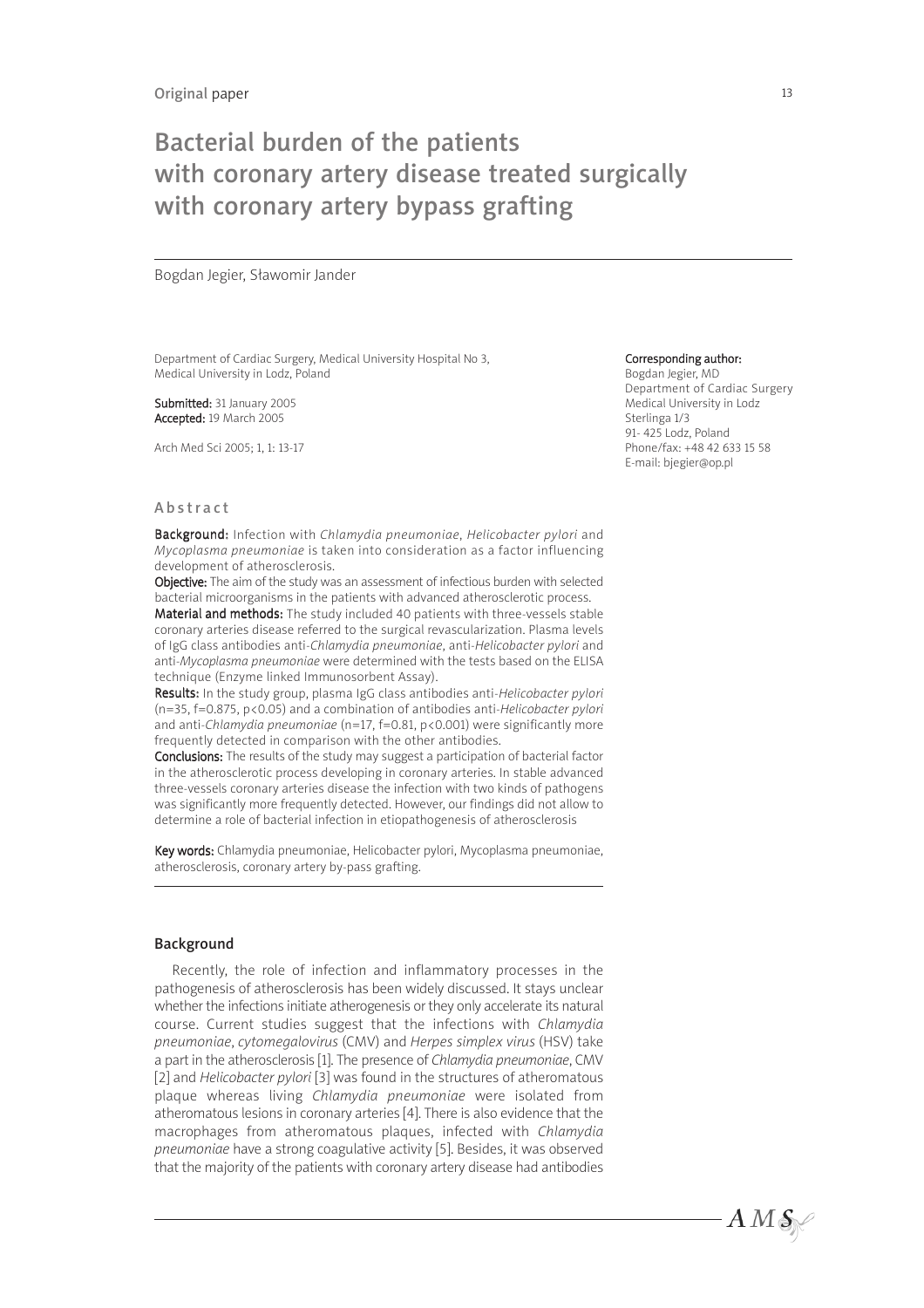# Bacterial burden of the patients with coronary artery disease treated surgically with coronary artery bypass grafting

Bogdan Jegier, Sławomir Jander

Department of Cardiac Surgery, Medical University Hospital No 3, Medical University in Lodz, Poland

Submitted: 31 January 2005 Accepted: 19 March 2005

Arch Med Sci 2005; 1, 1: 13-17

#### Corresponding author:

Bogdan Jegier, MD Department of Cardiac Surgery Medical University in Lodz Sterlinga 1/3 91- 425 Lodz, Poland Phone/fax: +48 42 633 15 58 E-mail: bjegier@op.pl

 $AMS$ 

#### Abstract

Background: Infection with Chlamydia pneumoniae, Helicobacter pylori and Mycoplasma pneumoniae is taken into consideration as a factor influencing development of atherosclerosis.

Objective: The aim of the study was an assessment of infectious burden with selected bacterial microorganisms in the patients with advanced atherosclerotic process.

Material and methods: The study included 40 patients with three-vessels stable coronary arteries disease referred to the surgical revascularization. Plasma levels of IgG class antibodies anti-Chlamydia pneumoniae, anti-Helicobacter pylori and anti-Mycoplasma pneumoniae were determined with the tests based on the ELISA technique (Enzyme linked Immunosorbent Assay).

Results: In the study group, plasma IgG class antibodies anti-Helicobacter pylori  $(n=35, f=0.875, p<0.05)$  and a combination of antibodies anti-Helicobacter pylori and anti-Chlamydia pneumoniae (n=17, f=0.81, p<0.001) were significantly more frequently detected in comparison with the other antibodies.

Conclusions: The results of the study may suggest a participation of bacterial factor in the atherosclerotic process developing in coronary arteries. In stable advanced three-vessels coronary arteries disease the infection with two kinds of pathogens was significantly more frequently detected. However, our findings did not allow to determine a role of bacterial infection in etiopathogenesis of atherosclerosis

Key words: Chlamydia pneumoniae, Helicobacter pylori, Mycoplasma pneumoniae, atherosclerosis, coronary artery by-pass grafting.

#### Background

Recently, the role of infection and inflammatory processes in the pathogenesis of atherosclerosis has been widely discussed. It stays unclear whether the infections initiate atherogenesis or they only accelerate its natural course. Current studies suggest that the infections with Chlamydia pneumoniae, cytomegalovirus (CMV) and Herpes simplex virus (HSV) take a part in the atherosclerosis [1]. The presence of Chlamydia pneumoniae, CMV [2] and Helicobacter pylori [3] was found in the structures of atheromatous plaque whereas living Chlamydia pneumoniae were isolated from atheromatous lesions in coronary arteries [4]. There is also evidence that the macrophages from atheromatous plaques, infected with Chlamydia pneumoniae have a strong coagulative activity [5]. Besides, it was observed that the majority of the patients with coronary artery disease had antibodies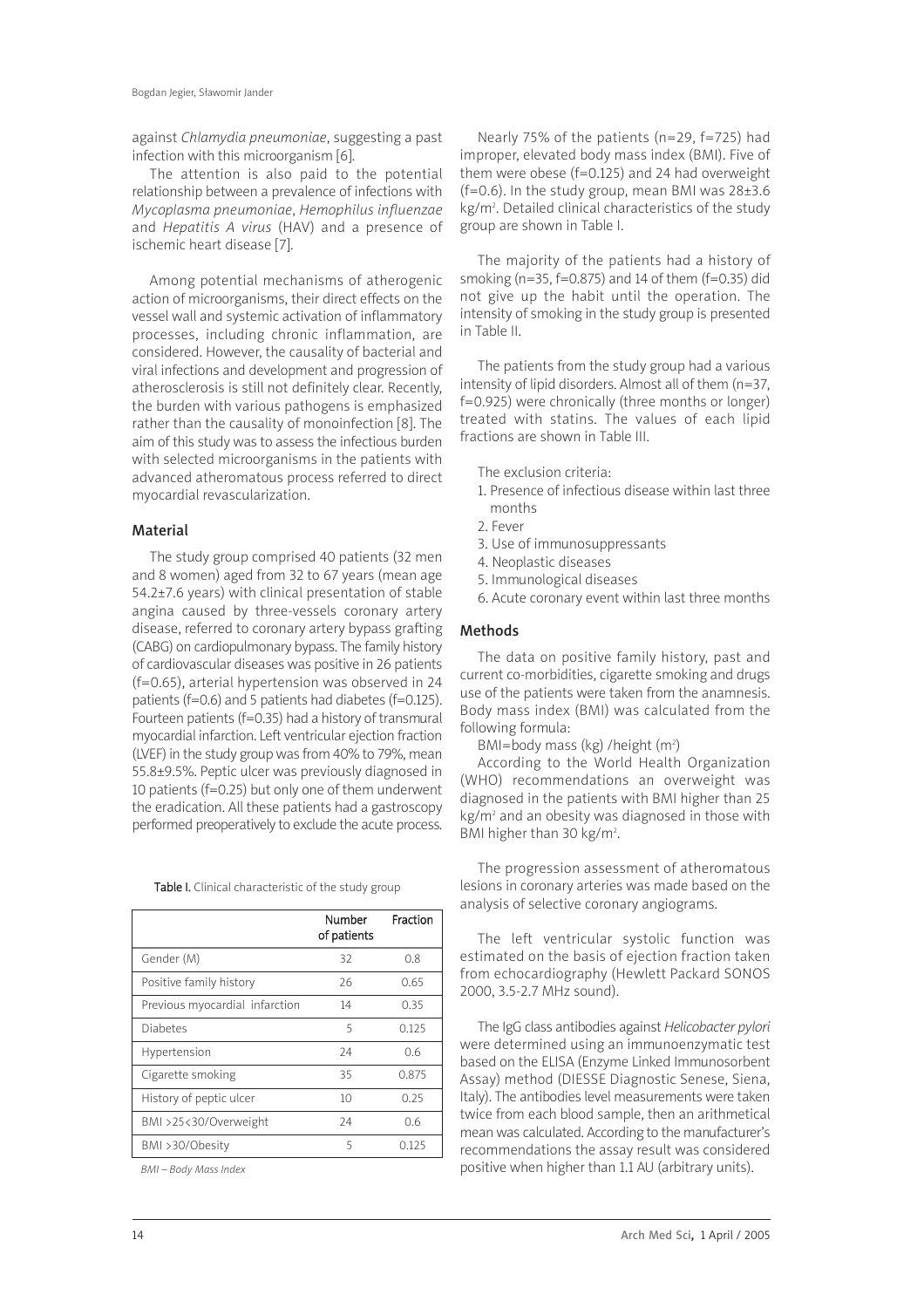against Chlamydia pneumoniae, suggesting a past infection with this microorganism [6].

The attention is also paid to the potential relationship between a prevalence of infections with Mycoplasma pneumoniae, Hemophilus influenzae and Hepatitis A virus (HAV) and a presence of ischemic heart disease [7].

Among potential mechanisms of atherogenic action of microorganisms, their direct effects on the vessel wall and systemic activation of inflammatory processes, including chronic inflammation, are considered. However, the causality of bacterial and viral infections and development and progression of atherosclerosis is still not definitely clear. Recently, the burden with various pathogens is emphasized rather than the causality of monoinfection [8]. The aim of this study was to assess the infectious burden with selected microorganisms in the patients with advanced atheromatous process referred to direct myocardial revascularization.

## Material

The study group comprised 40 patients (32 men and 8 women) aged from 32 to 67 years (mean age 54.2±7.6 years) with clinical presentation of stable angina caused by three-vessels coronary artery disease, referred to coronary artery bypass grafting (CABG) on cardiopulmonary bypass. The family history of cardiovascular diseases was positive in 26 patients (f=0.65), arterial hypertension was observed in 24 patients (f=0.6) and 5 patients had diabetes (f=0.125). Fourteen patients (f=0.35) had a history of transmural myocardial infarction. Left ventricular ejection fraction (LVEF) in the study group was from 40% to 79%, mean 55.8±9.5%. Peptic ulcer was previously diagnosed in 10 patients (f=0.25) but only one of them underwent the eradication. All these patients had a gastroscopy performed preoperatively to exclude the acute process.

Table I. Clinical characteristic of the study group

|                                | Number<br>of patients | Fraction |
|--------------------------------|-----------------------|----------|
| Gender (M)                     | 32                    | 0.8      |
| Positive family history        | 26                    | 0.65     |
| Previous myocardial infarction | 14                    | 0.35     |
| <b>Diabetes</b>                | 5                     | O 125    |
| Hypertension                   | 24                    | 0.6      |
| Cigarette smoking              | 35                    | 0.875    |
| History of peptic ulcer        | 10                    | 0.25     |
| BMI >25<30/Overweight          | 24                    | 0.6      |
| BMI >30/Obesity                | 5                     | 0.125    |

BMI – Body Mass Index

Nearly 75% of the patients (n=29, f=725) had improper, elevated body mass index (BMI). Five of them were obese (f=0.125) and 24 had overweight (f=0.6). In the study group, mean BMI was  $28\pm3.6$ kg/m2 . Detailed clinical characteristics of the study group are shown in Table I.

The majority of the patients had a history of smoking (n=35, f=0.875) and 14 of them (f=0.35) did not give up the habit until the operation. The intensity of smoking in the study group is presented in Table II.

The patients from the study group had a various intensity of lipid disorders. Almost all of them (n=37, f=0.925) were chronically (three months or longer) treated with statins. The values of each lipid fractions are shown in Table III.

The exclusion criteria:

- 1. Presence of infectious disease within last three months
- 2. Fever
- 3. Use of immunosuppressants
- 4. Neoplastic diseases
- 5. Immunological diseases
- 6. Acute coronary event within last three months

#### Methods

The data on positive family history, past and current co-morbidities, cigarette smoking and drugs use of the patients were taken from the anamnesis. Body mass index (BMI) was calculated from the following formula:

BMI=body mass (kg) /height  $(m^2)$ 

According to the World Health Organization (WHO) recommendations an overweight was diagnosed in the patients with BMI higher than 25 kg/m2 and an obesity was diagnosed in those with BMI higher than 30 kg/m<sup>2</sup>.

The progression assessment of atheromatous lesions in coronary arteries was made based on the analysis of selective coronary angiograms.

The left ventricular systolic function was estimated on the basis of ejection fraction taken from echocardiography (Hewlett Packard SONOS 2000, 3.5-2.7 MHz sound).

The IgG class antibodies against Helicobacter pylori were determined using an immunoenzymatic test based on the ELISA (Enzyme Linked Immunosorbent Assay) method (DIESSE Diagnostic Senese, Siena, Italy). The antibodies level measurements were taken twice from each blood sample, then an arithmetical mean was calculated. According to the manufacturer's recommendations the assay result was considered positive when higher than 1.1 AU (arbitrary units).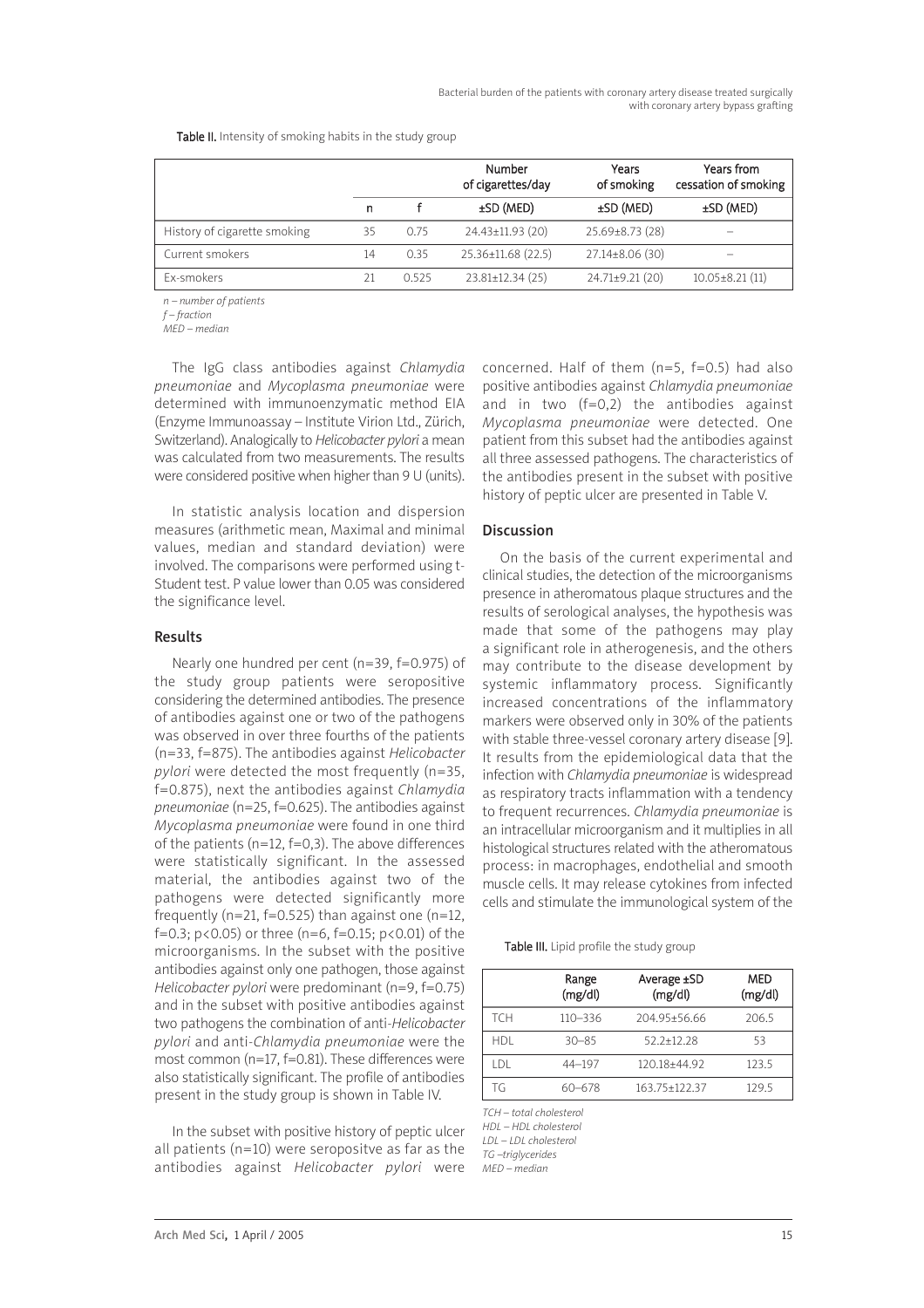|                              |    |      | Number<br>of cigarettes/day | Years<br>of smoking   | Years from<br>cessation of smoking |
|------------------------------|----|------|-----------------------------|-----------------------|------------------------------------|
|                              | n  |      | $\pm$ SD (MED)              | $±SD$ (MED)           | $\pm$ SD (MED)                     |
| History of cigarette smoking | 35 | 0.75 | 24.43±11.93 (20)            | $25.69 \pm 8.73$ (28) | -                                  |
| Current smokers              | 14 | 0.35 | 25.36±11.68 (22.5)          | $27.14 \pm 8.06(30)$  | $\overline{\phantom{a}}$           |
| <b>Fx-smokers</b>            |    | 0525 | $23.81 \pm 12.34(25)$       | $24.71 \pm 9.21$ (20) | $10.05 \pm 8.21(11)$               |
|                              |    |      |                             |                       |                                    |

Table II. Intensity of smoking habits in the study group

n – number of patients

f – fraction

MED – median

The IgG class antibodies against Chlamydia pneumoniae and Mycoplasma pneumoniae were determined with immunoenzymatic method EIA (Enzyme Immunoassay – Institute Virion Ltd., Zürich, Switzerland). Analogically to Helicobacter pylori a mean was calculated from two measurements. The results were considered positive when higher than 9 U (units).

In statistic analysis location and dispersion measures (arithmetic mean, Maximal and minimal values, median and standard deviation) were involved. The comparisons were performed using t-Student test. P value lower than 0.05 was considered the significance level.

## Results

Nearly one hundred per cent (n=39, f=0.975) of the study group patients were seropositive considering the determined antibodies. The presence of antibodies against one or two of the pathogens was observed in over three fourths of the patients (n=33, f=875). The antibodies against Helicobacter pylori were detected the most frequently (n=35, f=0.875), next the antibodies against Chlamydia pneumoniae (n=25, f=0.625). The antibodies against Mycoplasma pneumoniae were found in one third of the patients (n=12, f=0,3). The above differences were statistically significant. In the assessed material, the antibodies against two of the pathogens were detected significantly more frequently (n=21, f=0.525) than against one (n=12, f=0.3; p<0.05) or three (n=6, f=0.15; p<0.01) of the microorganisms. In the subset with the positive antibodies against only one pathogen, those against Helicobacter pylori were predominant (n=9, f=0.75) and in the subset with positive antibodies against two pathogens the combination of anti-Helicobacter pylori and anti-Chlamydia pneumoniae were the most common (n=17, f=0.81). These differences were also statistically significant. The profile of antibodies present in the study group is shown in Table IV.

In the subset with positive history of peptic ulcer all patients (n=10) were seropositve as far as the antibodies against Helicobacter pylori were concerned. Half of them  $(n=5, f=0.5)$  had also positive antibodies against Chlamydia pneumoniae and in two (f=0,2) the antibodies against Mycoplasma pneumoniae were detected. One patient from this subset had the antibodies against all three assessed pathogens. The characteristics of the antibodies present in the subset with positive history of peptic ulcer are presented in Table V.

## Discussion

On the basis of the current experimental and clinical studies, the detection of the microorganisms presence in atheromatous plaque structures and the results of serological analyses, the hypothesis was made that some of the pathogens may play a significant role in atherogenesis, and the others may contribute to the disease development by systemic inflammatory process. Significantly increased concentrations of the inflammatory markers were observed only in 30% of the patients with stable three-vessel coronary artery disease [9]. It results from the epidemiological data that the infection with Chlamydia pneumoniae is widespread as respiratory tracts inflammation with a tendency to frequent recurrences. Chlamydia pneumoniae is an intracellular microorganism and it multiplies in all histological structures related with the atheromatous process: in macrophages, endothelial and smooth muscle cells. It may release cytokines from infected cells and stimulate the immunological system of the

Table III. Lipid profile the study group

|            | Range<br>(mg/dl) | Average ±SD<br>(mg/dl) | MED<br>(mg/dl) |
|------------|------------------|------------------------|----------------|
| <b>TCH</b> | $110 - 336$      | 204.95+56.66           | 206.5          |
| <b>HDI</b> | $30 - 85$        | $52.2 + 12.28$         | 53             |
| I DI       | $44 - 197$       | 120.18+44.92           | 123.5          |
| TG         | 60-678           | 163.75±122.37          | 129.5          |

TCH – total cholesterol

HDL – HDL cholesterol LDL – LDL cholesterol TG –triglycerides

MED – median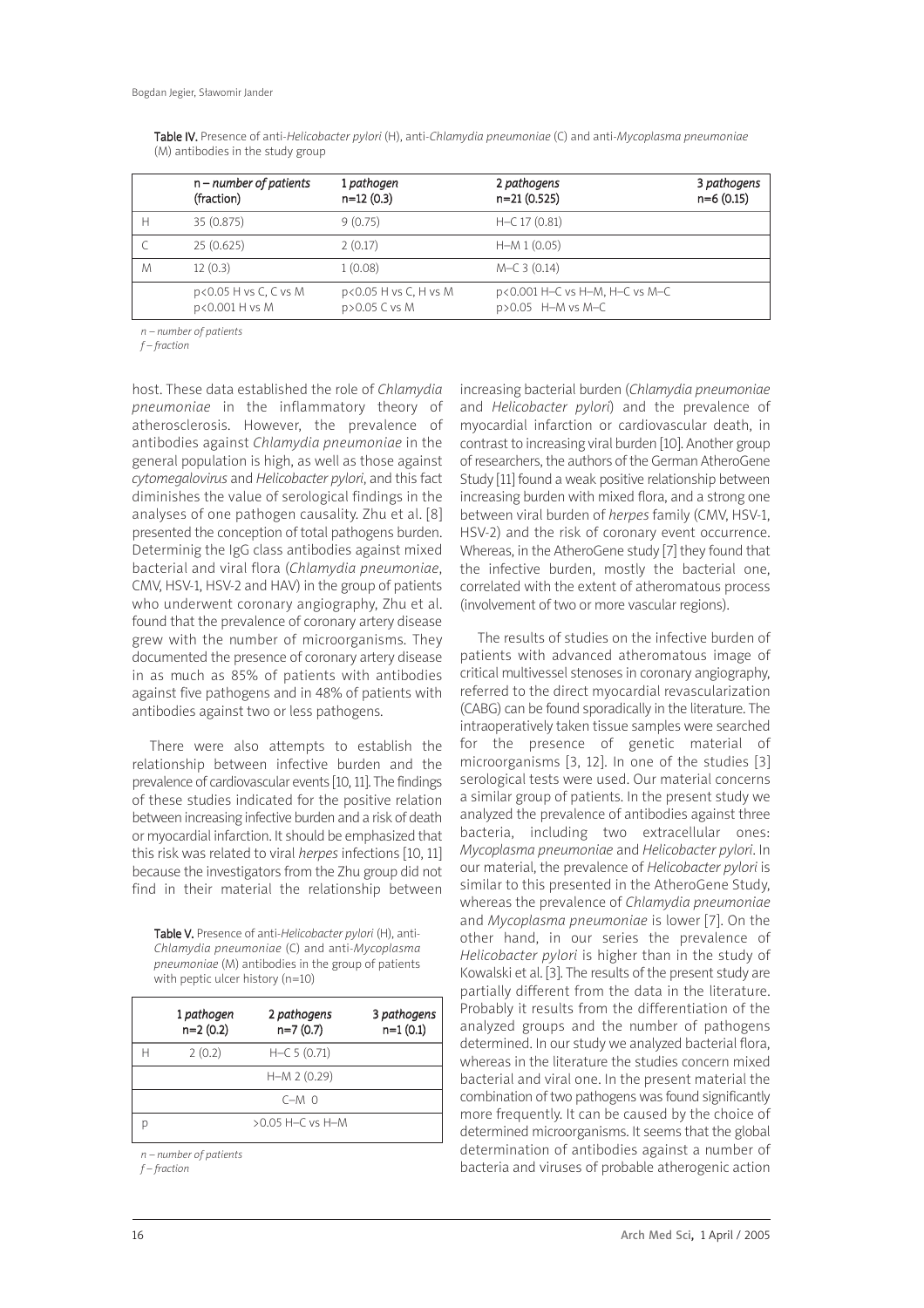|   | $n$ – number of patients<br>(fraction)  | 1 pathogen<br>$n=12(0.3)$              | 2 pathogens<br>$n=21(0.525)$                        | 3 pathogens<br>$n=6(0.15)$ |
|---|-----------------------------------------|----------------------------------------|-----------------------------------------------------|----------------------------|
| н | 35(0.875)                               | 9(0.75)                                | $H-C 17 (0.81)$                                     |                            |
|   | 25(0.625)                               | 2(0.17)                                | $H-M 1 (0.05)$                                      |                            |
| M | 12(0.3)                                 | 1(0.08)                                | $M-C$ 3 (0.14)                                      |                            |
|   | p<0.05 H vs C, C vs M<br>p<0.001 H vs M | p<0.05 H vs C, H vs M<br>p>0.05 C vs M | p<0.001 H-C vs H-M, H-C vs M-C<br>p>0.05 H-M vs M-C |                            |

Table IV. Presence of anti-Helicobacter pylori (H), anti-Chlamydia pneumoniae (C) and anti-Mycoplasma pneumoniae (M) antibodies in the study group

n – number of patients

f – fraction

host. These data established the role of Chlamydia pneumoniae in the inflammatory theory of atherosclerosis. However, the prevalence of antibodies against Chlamydia pneumoniae in the general population is high, as well as those against cytomegalovirus and Helicobacter pylori, and this fact diminishes the value of serological findings in the analyses of one pathogen causality. Zhu et al. [8] presented the conception of total pathogens burden. Determinig the IgG class antibodies against mixed bacterial and viral flora (Chlamydia pneumoniae, CMV, HSV-1, HSV-2 and HAV) in the group of patients who underwent coronary angiography, Zhu et al. found that the prevalence of coronary artery disease grew with the number of microorganisms. They documented the presence of coronary artery disease in as much as 85% of patients with antibodies against five pathogens and in 48% of patients with antibodies against two or less pathogens.

There were also attempts to establish the relationship between infective burden and the prevalence of cardiovascular events [10, 11]. The findings of these studies indicated for the positive relation between increasing infective burden and a risk of death or myocardial infarction. It should be emphasized that this risk was related to viral *herpes* infections [10, 11] because the investigators from the Zhu group did not find in their material the relationship between

Table V. Presence of anti-Helicobacter pylori (H), anti-Chlamydia pneumoniae (C) and anti-Mycoplasma pneumoniae (M) antibodies in the group of patients with peptic ulcer history (n=10)

| 1 pathogen<br>$n=2(0.2)$ | 2 pathogens<br>$n=7(0.7)$ | 3 pathogens<br>$n=1(0.1)$ |
|--------------------------|---------------------------|---------------------------|
| 2(0.2)                   | $H-C 5 (0.71)$            |                           |
|                          | $H-M 2 (0.29)$            |                           |
|                          | $C-M$ $\Omega$            |                           |
|                          | $>0.05$ H-C vs H-M        |                           |

n – number of patients

f – fraction

increasing bacterial burden (Chlamydia pneumoniae and Helicobacter pylori) and the prevalence of myocardial infarction or cardiovascular death, in contrast to increasing viral burden [10]. Another group of researchers, the authors of the German AtheroGene Study [11] found a weak positive relationship between increasing burden with mixed flora, and a strong one between viral burden of herpes family (CMV, HSV-1, HSV-2) and the risk of coronary event occurrence. Whereas, in the AtheroGene study [7] they found that the infective burden, mostly the bacterial one, correlated with the extent of atheromatous process (involvement of two or more vascular regions).

The results of studies on the infective burden of patients with advanced atheromatous image of critical multivessel stenoses in coronary angiography, referred to the direct myocardial revascularization (CABG) can be found sporadically in the literature. The intraoperatively taken tissue samples were searched for the presence of genetic material of microorganisms [3, 12]. In one of the studies [3] serological tests were used. Our material concerns a similar group of patients. In the present study we analyzed the prevalence of antibodies against three bacteria, including two extracellular ones: Mycoplasma pneumoniae and Helicobacter pylori. In our material, the prevalence of Helicobacter pylori is similar to this presented in the AtheroGene Study, whereas the prevalence of Chlamydia pneumoniae and Mycoplasma pneumoniae is lower [7]. On the other hand, in our series the prevalence of Helicobacter pylori is higher than in the study of Kowalski et al. [3]. The results of the present study are partially different from the data in the literature. Probably it results from the differentiation of the analyzed groups and the number of pathogens determined. In our study we analyzed bacterial flora, whereas in the literature the studies concern mixed bacterial and viral one. In the present material the combination of two pathogens was found significantly more frequently. It can be caused by the choice of determined microorganisms. It seems that the global determination of antibodies against a number of bacteria and viruses of probable atherogenic action